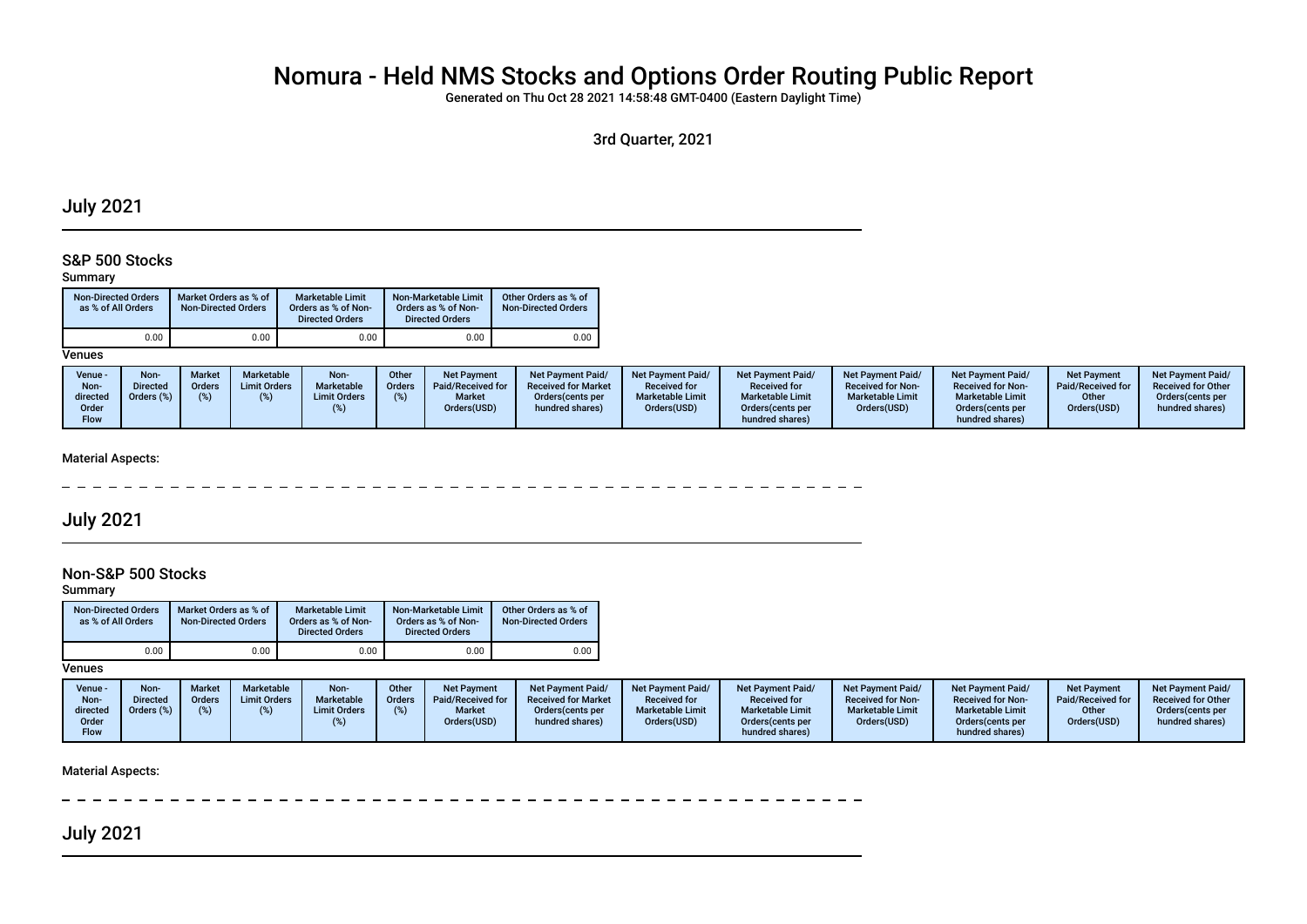# Nomura - Held NMS Stocks and Options Order Routing Public Report

Generated on Thu Oct 28 2021 14:58:48 GMT-0400 (Eastern Daylight Time)

3rd Quarter, 2021

## July 2021

## S&P 500 Stocks

#### Summary

| <b>Non-Directed Orders</b><br>as % of All Orders | Market Orders as % of<br><b>Non-Directed Orders</b> | <b>Marketable Limit</b><br>Orders as % of Non-<br><b>Directed Orders</b> | Non-Marketable Limit<br>Orders as % of Non-<br><b>Directed Orders</b> | Other Orders as % of<br><b>Non-Directed Orders</b> |
|--------------------------------------------------|-----------------------------------------------------|--------------------------------------------------------------------------|-----------------------------------------------------------------------|----------------------------------------------------|
| 0.00                                             | 0.00                                                | 0.00                                                                     | 0.00                                                                  | 0.00                                               |

**Venues** 

| Non-<br>Non<br><b>Market</b><br>Marketable<br>Other<br>Venue -<br><b>Net Payment Paid/</b><br><b>Net Payment Paid/</b><br><b>Net Payment</b><br><b>Limit Orders</b><br>Marketable<br>Paid/Received for<br><b>Received for Market</b><br><b>Received for</b><br>Directed<br><b>Orders</b><br>Orders<br>Non-<br>Orders (%)<br><b>Marketable Limit</b><br><b>Market</b><br><b>Limit Orders</b><br>Orders (cents per<br>directed<br>Orders(USD)<br>Orders(USD)<br>hundred shares)<br>Order<br>Flow | <b>Net Payment Paid/</b><br><b>Net Payment Paid/</b><br><b>Net Payment</b><br><b>Net Payment Paid/</b><br><b>Received for Non-</b><br>Paid/Received for<br><b>Received for</b><br><b>Received for Non-</b><br><b>Marketable Limit</b><br><b>Marketable Limit</b><br><b>Marketable Limit</b><br>Other<br>Orders(USD)<br>Orders(USD)<br>Orders(cents per<br>Orders (cents per<br>hundred shares)<br>hundred shares) | <b>Net Payment Paid/</b><br><b>Received for Other</b><br>Orders(cents per<br>hundred shares) |
|------------------------------------------------------------------------------------------------------------------------------------------------------------------------------------------------------------------------------------------------------------------------------------------------------------------------------------------------------------------------------------------------------------------------------------------------------------------------------------------------|-------------------------------------------------------------------------------------------------------------------------------------------------------------------------------------------------------------------------------------------------------------------------------------------------------------------------------------------------------------------------------------------------------------------|----------------------------------------------------------------------------------------------|
|------------------------------------------------------------------------------------------------------------------------------------------------------------------------------------------------------------------------------------------------------------------------------------------------------------------------------------------------------------------------------------------------------------------------------------------------------------------------------------------------|-------------------------------------------------------------------------------------------------------------------------------------------------------------------------------------------------------------------------------------------------------------------------------------------------------------------------------------------------------------------------------------------------------------------|----------------------------------------------------------------------------------------------|

#### Material Aspects:

 $\overline{a}$ ------------- $- - - - - - -$ 

## July 2021

## Non-S&P 500 Stocks

Summary

| <b>Non-Directed Orders</b><br>as % of All Orders | Market Orders as % of<br><b>Non-Directed Orders</b> | <b>Marketable Limit</b><br>Orders as % of Non-<br><b>Directed Orders</b> | Non-Marketable Limit<br>Orders as % of Non-<br><b>Directed Orders</b> | Other Orders as % of<br><b>Non-Directed Orders</b> |
|--------------------------------------------------|-----------------------------------------------------|--------------------------------------------------------------------------|-----------------------------------------------------------------------|----------------------------------------------------|
| 0.00                                             | 0.00                                                | 0.00                                                                     | 0.00                                                                  | 0.00                                               |

**Venues** 

| Venue -<br>Non-<br>directed | Non-<br><b>Directed</b><br>Orders (%) | Market<br>Orders | Marketable<br><b>Limit Orders</b> | Non-<br>Marketable<br><b>Limit Orders</b> | Other<br><b>Orders</b> | Net Payment<br>Paid/Received for<br><b>Market</b> | <b>Net Payment Paid/</b><br><b>Received for Market</b><br>Orders (cents per | <b>Net Payment Paid/</b><br><b>Received for</b><br><b>Marketable Limit</b> | <b>Net Payment Paid/</b><br><b>Received for</b><br><b>Marketable Limit</b> | <b>Net Payment Paid/</b><br><b>Received for Non-</b><br><b>Marketable Limit</b> | <b>Net Payment Paid/</b><br><b>Received for Non-</b><br><b>Marketable Limit</b> | <b>Net Payment</b><br>Paid/Received for<br>Other | <b>Net Payment Paid/</b><br><b>Received for Other</b><br>Orders(cents per |
|-----------------------------|---------------------------------------|------------------|-----------------------------------|-------------------------------------------|------------------------|---------------------------------------------------|-----------------------------------------------------------------------------|----------------------------------------------------------------------------|----------------------------------------------------------------------------|---------------------------------------------------------------------------------|---------------------------------------------------------------------------------|--------------------------------------------------|---------------------------------------------------------------------------|
| Order                       |                                       |                  |                                   |                                           |                        | Orders(USD)                                       | hundred shares)                                                             | Orders(USD)                                                                | Orders (cents per                                                          | Orders(USD)                                                                     | Orders(cents per                                                                | Orders(USD)                                      | hundred shares)                                                           |
| <b>Flow</b>                 |                                       |                  |                                   |                                           |                        |                                                   |                                                                             |                                                                            | hundred shares)                                                            |                                                                                 | hundred shares)                                                                 |                                                  |                                                                           |

Material Aspects:

the control of the control of

July 2021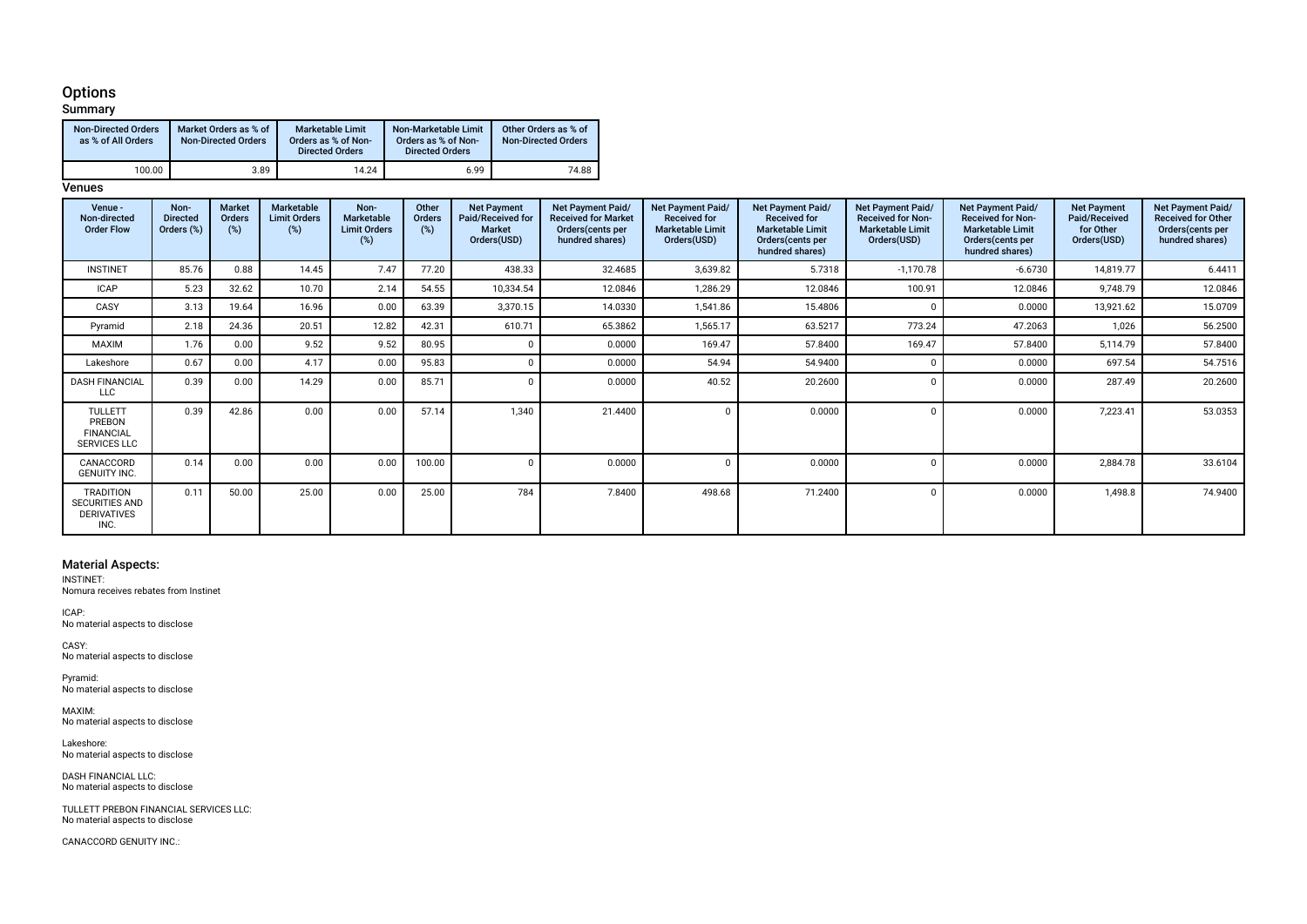#### Options

| Summary                                          |                                                     |                                                                   |                                                                       |                                                    |
|--------------------------------------------------|-----------------------------------------------------|-------------------------------------------------------------------|-----------------------------------------------------------------------|----------------------------------------------------|
| <b>Non-Directed Orders</b><br>as % of All Orders | Market Orders as % of<br><b>Non-Directed Orders</b> | Marketable Limit<br>Orders as % of Non-<br><b>Directed Orders</b> | Non-Marketable Limit<br>Orders as % of Non-<br><b>Directed Orders</b> | Other Orders as % of<br><b>Non-Directed Orders</b> |
| 100.00                                           | 3.89                                                | 14.24                                                             | 6.99                                                                  | 74.88                                              |

#### **Venues**

| Venue -<br>Non-directed<br><b>Order Flow</b>                            | Non-<br><b>Directed</b><br>Orders (%) | <b>Market</b><br>Orders<br>(%) | Marketable<br><b>Limit Orders</b><br>(%) | Non-<br>Marketable<br><b>Limit Orders</b><br>(%) | Other<br>Orders<br>$(\%)$ | <b>Net Payment</b><br>Paid/Received for<br><b>Market</b><br>Orders(USD) | Net Payment Paid/<br><b>Received for Market</b><br>Orders (cents per<br>hundred shares) | <b>Net Payment Paid/</b><br><b>Received for</b><br><b>Marketable Limit</b><br>Orders(USD) | <b>Net Payment Paid/</b><br><b>Received for</b><br><b>Marketable Limit</b><br>Orders (cents per<br>hundred shares) | <b>Net Payment Paid/</b><br><b>Received for Non-</b><br><b>Marketable Limit</b><br>Orders(USD) | <b>Net Payment Paid/</b><br><b>Received for Non-</b><br><b>Marketable Limit</b><br>Orders(cents per<br>hundred shares) | <b>Net Payment</b><br>Paid/Received<br>for Other<br>Orders(USD) | Net Payment Paid/<br><b>Received for Other</b><br>Orders (cents per<br>hundred shares) |
|-------------------------------------------------------------------------|---------------------------------------|--------------------------------|------------------------------------------|--------------------------------------------------|---------------------------|-------------------------------------------------------------------------|-----------------------------------------------------------------------------------------|-------------------------------------------------------------------------------------------|--------------------------------------------------------------------------------------------------------------------|------------------------------------------------------------------------------------------------|------------------------------------------------------------------------------------------------------------------------|-----------------------------------------------------------------|----------------------------------------------------------------------------------------|
| <b>INSTINET</b>                                                         | 85.76                                 | 0.88                           | 14.45                                    | 7.47                                             | 77.20                     | 438.33                                                                  | 32.4685                                                                                 | 3,639.82                                                                                  | 5.7318                                                                                                             | $-1,170.78$                                                                                    | $-6.6730$                                                                                                              | 14,819.77                                                       | 6.4411                                                                                 |
| <b>ICAP</b>                                                             | 5.23                                  | 32.62                          | 10.70                                    | 2.14                                             | 54.55                     | 10,334.54                                                               | 12.0846                                                                                 | 1,286.29                                                                                  | 12.0846                                                                                                            | 100.91                                                                                         | 12.0846                                                                                                                | 9,748.79                                                        | 12.0846                                                                                |
| CASY                                                                    | 3.13                                  | 19.64                          | 16.96                                    | 0.00                                             | 63.39                     | 3,370.15                                                                | 14.0330                                                                                 | 1,541.86                                                                                  | 15.4806                                                                                                            | $\Omega$                                                                                       | 0.0000                                                                                                                 | 13,921.62                                                       | 15.0709                                                                                |
| Pyramid                                                                 | 2.18                                  | 24.36                          | 20.51                                    | 12.82                                            | 42.31                     | 610.71                                                                  | 65.3862                                                                                 | 1,565.17                                                                                  | 63.5217                                                                                                            | 773.24                                                                                         | 47.2063                                                                                                                | 1,026                                                           | 56.2500                                                                                |
| MAXIM                                                                   | 1.76                                  | 0.00                           | 9.52                                     | 9.52                                             | 80.95                     |                                                                         | 0.0000                                                                                  | 169.47                                                                                    | 57.8400                                                                                                            | 169.47                                                                                         | 57.8400                                                                                                                | 5,114.79                                                        | 57.8400                                                                                |
| Lakeshore                                                               | 0.67                                  | 0.00                           | 4.17                                     | 0.00                                             | 95.83                     |                                                                         | 0.0000                                                                                  | 54.94                                                                                     | 54.9400                                                                                                            | $\Omega$                                                                                       | 0.0000                                                                                                                 | 697.54                                                          | 54.7516                                                                                |
| <b>DASH FINANCIAL</b><br><b>LLC</b>                                     | 0.39                                  | 0.00                           | 14.29                                    | 0.00                                             | 85.71                     |                                                                         | 0.0000                                                                                  | 40.52                                                                                     | 20.2600                                                                                                            | $\Omega$                                                                                       | 0.0000                                                                                                                 | 287.49                                                          | 20.2600                                                                                |
| <b>TULLETT</b><br>PREBON<br><b>FINANCIAL</b><br>SERVICES LLC            | 0.39                                  | 42.86                          | 0.00                                     | 0.00                                             | 57.14                     | 1,340                                                                   | 21.4400                                                                                 |                                                                                           | 0.0000                                                                                                             | $\Omega$                                                                                       | 0.0000                                                                                                                 | 7,223.41                                                        | 53.0353                                                                                |
| CANACCORD<br><b>GENUITY INC.</b>                                        | 0.14                                  | 0.00                           | 0.00                                     | 0.00                                             | 100.00                    |                                                                         | 0.0000                                                                                  |                                                                                           | 0.0000                                                                                                             | $\Omega$                                                                                       | 0.0000                                                                                                                 | 2,884.78                                                        | 33.6104                                                                                |
| <b>TRADITION</b><br><b>SECURITIES AND</b><br><b>DERIVATIVES</b><br>INC. | 0.11                                  | 50.00                          | 25.00                                    | 0.00                                             | 25.00                     | 784                                                                     | 7.8400                                                                                  | 498.68                                                                                    | 71.2400                                                                                                            | $\Omega$                                                                                       | 0.0000                                                                                                                 | 1,498.8                                                         | 74.9400                                                                                |

#### Material Aspects:

INSTINET: Nomura receives rebates from Instinet

ICAP: No material aspects to disclose

CASY: No material aspects to disclose

Pyramid: No material aspects to disclose

MAXIM: No material aspects to disclose

Lakeshore: No material aspects to disclose

DASH FINANCIAL LLC: No material aspects to disclose

TULLETT PREBON FINANCIAL SERVICES LLC: No material aspects to disclose

CANACCORD GENUITY INC.: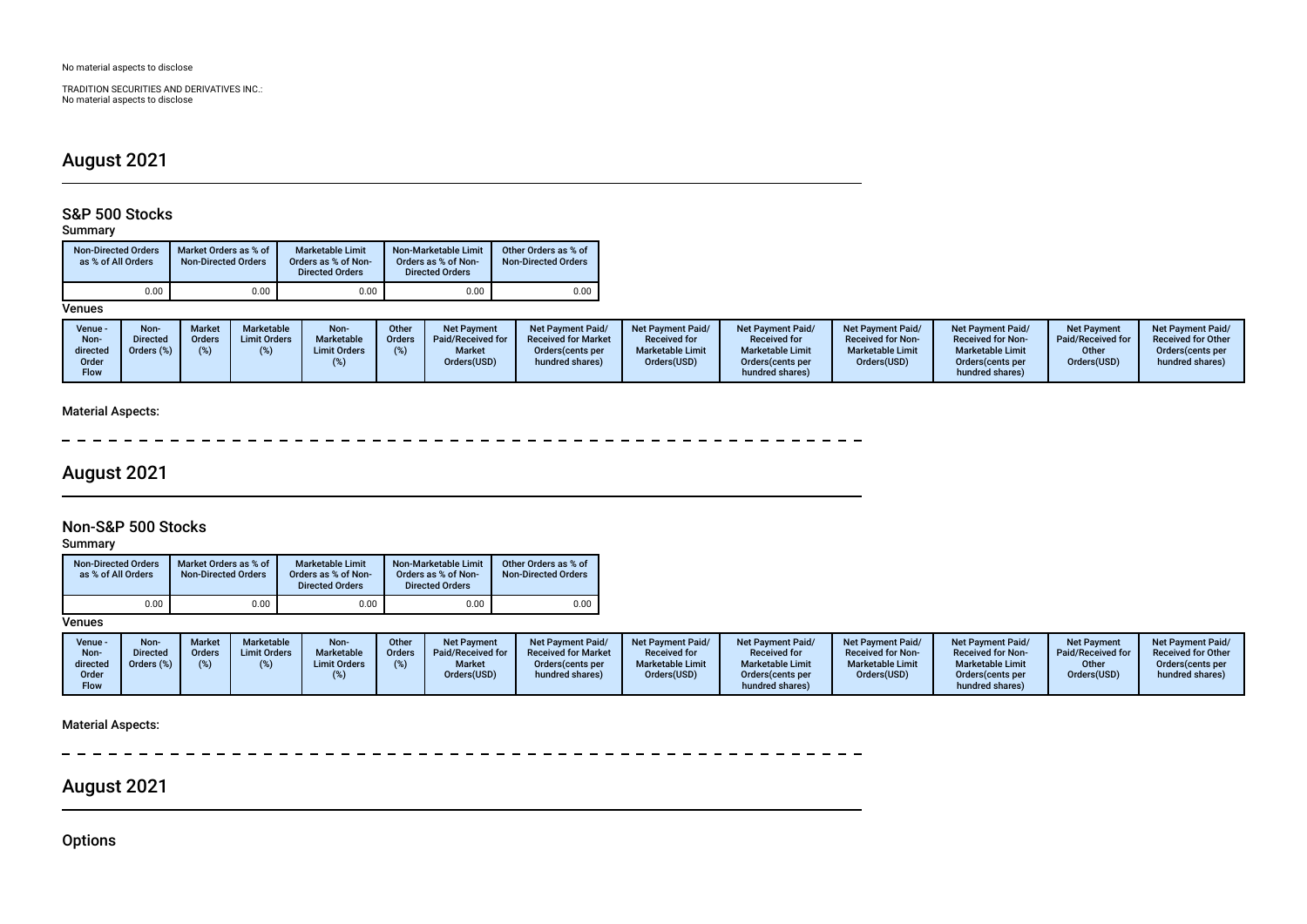TRADITION SECURITIES AND DERIVATIVES INC.: No material aspects to disclose

## August 2021

## S&P 500 Stocks

### Summary

| <b>Non-Directed Orders</b><br>as % of All Orders | Market Orders as % of<br><b>Non-Directed Orders</b> | Marketable Limit<br>Orders as % of Non-<br><b>Directed Orders</b> | Non-Marketable Limit<br>Orders as % of Non-<br><b>Directed Orders</b> | Other Orders as % of<br><b>Non-Directed Orders</b> |
|--------------------------------------------------|-----------------------------------------------------|-------------------------------------------------------------------|-----------------------------------------------------------------------|----------------------------------------------------|
| 0.00                                             | 0.00                                                | 0.00                                                              | 0.00                                                                  | 0.00                                               |

#### **Venues**

| Venue -<br>Non-<br>directed<br>Order<br><b>Flow</b> | <b>Non</b><br><b>Directed</b><br>Orders (%) | <b>Market</b><br><b>Orders</b> | <b>Marketable</b><br><b>Limit Orders</b> | Non-<br>Marketable<br><b>Limit Orders</b> | Other<br>Orders<br>(%) | <b>Net Payment</b><br>Paid/Received for<br><b>Market</b><br>Orders(USD) | <b>Net Payment Paid/</b><br><b>Received for Market</b><br>Orders (cents per<br>hundred shares) | <b>Net Payment Paid/</b><br><b>Received for</b><br><b>Marketable Limit</b><br>Orders(USD) | Net Payment Paid/<br><b>Received for</b><br><b>Marketable Limit</b><br>Orders (cents per<br>hundred shares) | <b>Net Payment Paid/</b><br><b>Received for Non-</b><br><b>Marketable Limit</b><br>Orders(USD) | <b>Net Payment Paid/</b><br><b>Received for Non-</b><br><b>Marketable Limit</b><br>Orders (cents per<br>hundred shares) | <b>Net Payment</b><br>Paid/Received for<br>Other<br>Orders(USD) | <b>Net Payment Paid/</b><br><b>Received for Other</b><br>Orders (cents per<br>hundred shares) |
|-----------------------------------------------------|---------------------------------------------|--------------------------------|------------------------------------------|-------------------------------------------|------------------------|-------------------------------------------------------------------------|------------------------------------------------------------------------------------------------|-------------------------------------------------------------------------------------------|-------------------------------------------------------------------------------------------------------------|------------------------------------------------------------------------------------------------|-------------------------------------------------------------------------------------------------------------------------|-----------------------------------------------------------------|-----------------------------------------------------------------------------------------------|
|-----------------------------------------------------|---------------------------------------------|--------------------------------|------------------------------------------|-------------------------------------------|------------------------|-------------------------------------------------------------------------|------------------------------------------------------------------------------------------------|-------------------------------------------------------------------------------------------|-------------------------------------------------------------------------------------------------------------|------------------------------------------------------------------------------------------------|-------------------------------------------------------------------------------------------------------------------------|-----------------------------------------------------------------|-----------------------------------------------------------------------------------------------|

### Material Aspects:

 $\overline{\phantom{a}}$  $\equiv$ 

# August 2021

## Non-S&P 500 Stocks

Summary

| <b>Non-Directed Orders</b><br>Market Orders as % of<br>as % of All Orders<br><b>Non-Directed Orders</b> |      | <b>Marketable Limit</b><br>Orders as % of Non-<br><b>Directed Orders</b> | Non-Marketable Limit<br>Orders as % of Non-<br><b>Directed Orders</b> | Other Orders as % of<br><b>Non-Directed Orders</b> |
|---------------------------------------------------------------------------------------------------------|------|--------------------------------------------------------------------------|-----------------------------------------------------------------------|----------------------------------------------------|
| 0.00                                                                                                    | 0.00 | 0.00                                                                     | 0.00                                                                  | 0.00                                               |

**Venues** 

| Venue -<br>Non-<br>directed<br>Order<br><b>Flow</b> | Non-<br><b>Directed</b><br>Orders (%) | Marke<br>Orders | <b>Marketable</b><br><b>Limit Orders</b> | Non-<br><b>Marketable</b><br><b>Limit Orders</b> | Other<br><b>Orders</b> | <b>Net Payment</b><br>Paid/Received for<br><b>Market</b><br>Orders(USD) | <b>Net Payment Paid/</b><br><b>Received for Market</b><br>Orders (cents per<br>hundred shares) | <b>Net Payment Paid/</b><br><b>Received for</b><br><b>Marketable Limit</b><br>Orders(USD) | <b>Net Payment Paid/</b><br><b>Received for</b><br><b>Marketable Limit</b><br>Orders (cents per<br>hundred shares) | <b>Net Payment Paid/</b><br><b>Received for Non-</b><br><b>Marketable Limit</b><br>Orders(USD) | <b>Net Payment Paid/</b><br><b>Received for Non-</b><br><b>Marketable Limit</b><br>Orders (cents per<br>hundred shares) | <b>Net Payment</b><br>Paid/Received for<br>Other<br>Orders(USD) | <b>Net Payment Paid/</b><br><b>Received for Other</b><br>Orders(cents per<br>hundred shares) |
|-----------------------------------------------------|---------------------------------------|-----------------|------------------------------------------|--------------------------------------------------|------------------------|-------------------------------------------------------------------------|------------------------------------------------------------------------------------------------|-------------------------------------------------------------------------------------------|--------------------------------------------------------------------------------------------------------------------|------------------------------------------------------------------------------------------------|-------------------------------------------------------------------------------------------------------------------------|-----------------------------------------------------------------|----------------------------------------------------------------------------------------------|
|-----------------------------------------------------|---------------------------------------|-----------------|------------------------------------------|--------------------------------------------------|------------------------|-------------------------------------------------------------------------|------------------------------------------------------------------------------------------------|-------------------------------------------------------------------------------------------|--------------------------------------------------------------------------------------------------------------------|------------------------------------------------------------------------------------------------|-------------------------------------------------------------------------------------------------------------------------|-----------------------------------------------------------------|----------------------------------------------------------------------------------------------|

### Material Aspects:

 $\sim$  $\sim$  $\sim$   $\sim$ 

# August 2021

**Options**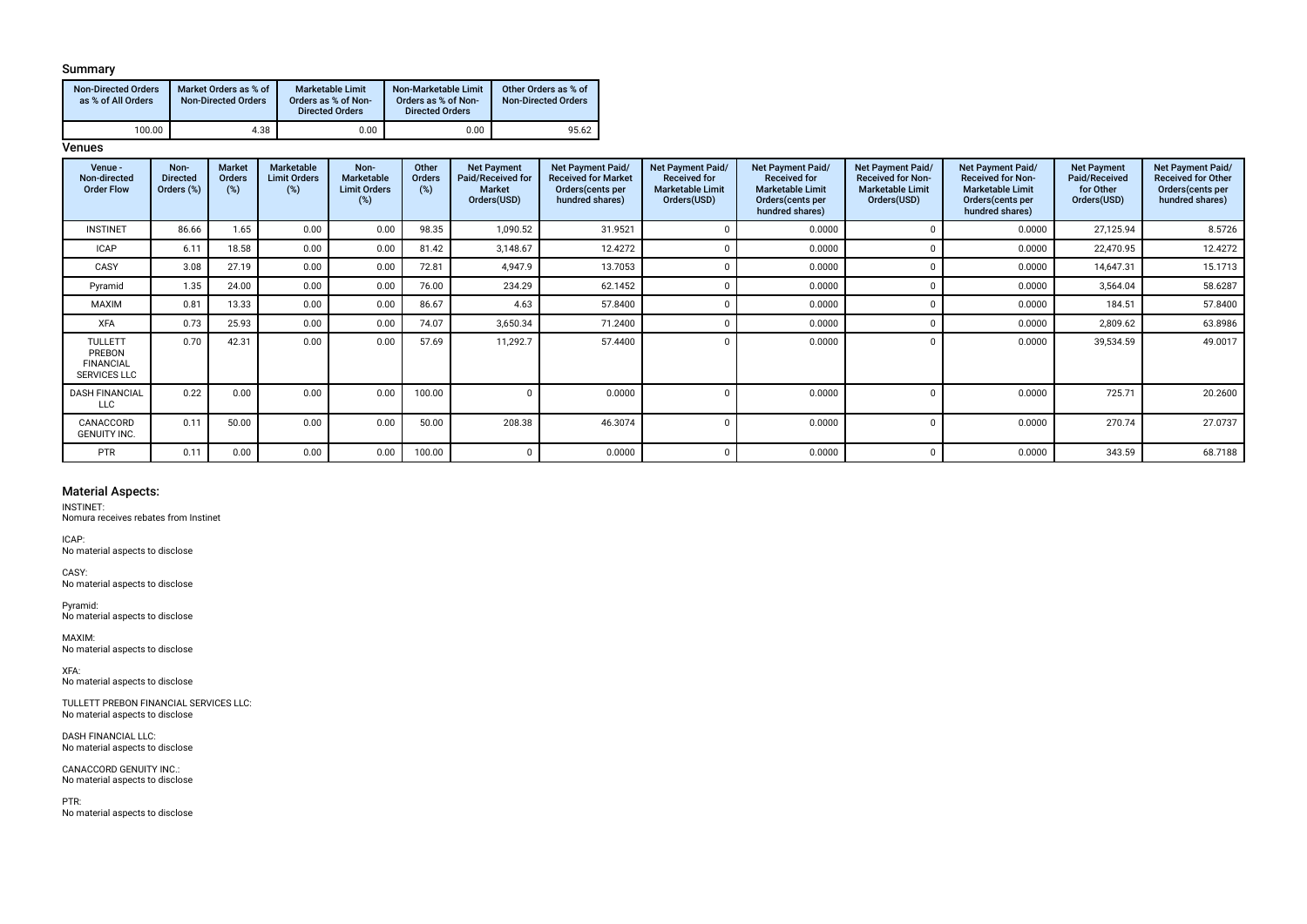#### Summary

| <b>Non-Directed Orders</b><br>as % of All Orders | Market Orders as % of<br><b>Non-Directed Orders</b> | <b>Marketable Limit</b><br>Orders as % of Non-<br><b>Directed Orders</b> | Non-Marketable Limit<br>Orders as % of Non-<br><b>Directed Orders</b> | Other Orders as % of<br><b>Non-Directed Orders</b> |  |  |
|--------------------------------------------------|-----------------------------------------------------|--------------------------------------------------------------------------|-----------------------------------------------------------------------|----------------------------------------------------|--|--|
| 100.00                                           | 4.38                                                | 0.00                                                                     | 0.00                                                                  | 95.62                                              |  |  |

#### **Venues**

| Venue -<br>Non-directed<br><b>Order Flow</b>                        | Non-<br><b>Directed</b><br>Orders (%) | Market<br>Orders<br>$(\%)$ | Marketable<br><b>Limit Orders</b><br>(%) | Non-<br><b>Marketable</b><br><b>Limit Orders</b><br>(%) | Other<br>Orders<br>(%) | <b>Net Payment</b><br>Paid/Received for<br><b>Market</b><br>Orders(USD) | Net Payment Paid/<br><b>Received for Market</b><br>Orders (cents per<br>hundred shares) | <b>Net Payment Paid/</b><br><b>Received for</b><br><b>Marketable Limit</b><br>Orders(USD) | Net Payment Paid/<br><b>Received for</b><br><b>Marketable Limit</b><br>Orders (cents per<br>hundred shares) | <b>Net Payment Paid/</b><br><b>Received for Non-</b><br><b>Marketable Limit</b><br>Orders(USD) | Net Payment Paid/<br><b>Received for Non-</b><br><b>Marketable Limit</b><br>Orders (cents per<br>hundred shares) | <b>Net Payment</b><br>Paid/Received<br>for Other<br>Orders(USD) | Net Payment Paid/<br><b>Received for Other</b><br>Orders (cents per<br>hundred shares) |
|---------------------------------------------------------------------|---------------------------------------|----------------------------|------------------------------------------|---------------------------------------------------------|------------------------|-------------------------------------------------------------------------|-----------------------------------------------------------------------------------------|-------------------------------------------------------------------------------------------|-------------------------------------------------------------------------------------------------------------|------------------------------------------------------------------------------------------------|------------------------------------------------------------------------------------------------------------------|-----------------------------------------------------------------|----------------------------------------------------------------------------------------|
| <b>INSTINET</b>                                                     | 86.66                                 | 1.65                       | 0.00                                     | 0.00                                                    | 98.35                  | 1,090.52                                                                | 31.9521                                                                                 |                                                                                           | 0.0000                                                                                                      |                                                                                                | 0.0000                                                                                                           | 27,125.94                                                       | 8.5726                                                                                 |
| <b>ICAP</b>                                                         | 6.11                                  | 18.58                      | 0.00                                     | 0.00                                                    | 81.42                  | 3,148.67                                                                | 12.4272                                                                                 |                                                                                           | 0.0000                                                                                                      |                                                                                                | 0.0000                                                                                                           | 22,470.95                                                       | 12.4272                                                                                |
| CASY                                                                | 3.08                                  | 27.19                      | 0.00                                     | 0.00                                                    | 72.81                  | 4,947.9                                                                 | 13.7053                                                                                 |                                                                                           | 0.0000                                                                                                      |                                                                                                | 0.0000                                                                                                           | 14,647.31                                                       | 15.1713                                                                                |
| Pyramid                                                             | 1.35                                  | 24.00                      | 0.00                                     | 0.00                                                    | 76.00                  | 234.29                                                                  | 62.1452                                                                                 |                                                                                           | 0.0000                                                                                                      |                                                                                                | 0.0000                                                                                                           | 3,564.04                                                        | 58.6287                                                                                |
| MAXIM                                                               | 0.81                                  | 13.33                      | 0.00                                     | 0.00                                                    | 86.67                  | 4.63                                                                    | 57.8400                                                                                 |                                                                                           | 0.0000                                                                                                      |                                                                                                | 0.0000                                                                                                           | 184.51                                                          | 57.8400                                                                                |
| <b>XFA</b>                                                          | 0.73                                  | 25.93                      | 0.00                                     | 0.00                                                    | 74.07                  | 3,650.34                                                                | 71.2400                                                                                 |                                                                                           | 0.0000                                                                                                      |                                                                                                | 0.0000                                                                                                           | 2,809.62                                                        | 63.8986                                                                                |
| <b>TULLETT</b><br>PREBON<br><b>FINANCIAL</b><br><b>SERVICES LLC</b> | 0.70                                  | 42.31                      | 0.00                                     | 0.00                                                    | 57.69                  | 11,292.7                                                                | 57.4400                                                                                 |                                                                                           | 0.0000                                                                                                      |                                                                                                | 0.0000                                                                                                           | 39,534.59                                                       | 49.0017                                                                                |
| <b>DASH FINANCIAL</b><br>LLC                                        | 0.22                                  | 0.00                       | 0.00                                     | 0.00                                                    | 100.00                 | $\cap$                                                                  | 0.0000                                                                                  |                                                                                           | 0.0000                                                                                                      |                                                                                                | 0.0000                                                                                                           | 725.71                                                          | 20.2600                                                                                |
| CANACCORD<br><b>GENUITY INC.</b>                                    | 0.11                                  | 50.00                      | 0.00                                     | 0.00                                                    | 50.00                  | 208.38                                                                  | 46.3074                                                                                 |                                                                                           | 0.0000                                                                                                      |                                                                                                | 0.0000                                                                                                           | 270.74                                                          | 27.0737                                                                                |
| PTR                                                                 | 0.11                                  | 0.00                       | 0.00                                     | 0.00                                                    | 100.00                 |                                                                         | 0.0000                                                                                  |                                                                                           | 0.0000                                                                                                      |                                                                                                | 0.0000                                                                                                           | 343.59                                                          | 68.7188                                                                                |

#### Material Aspects:

INSTINET:

Nomura receives rebates from Instinet

ICAP: No material aspects to disclose

CASY: No material aspects to disclose

Pyramid: No material aspects to disclose

MAXIM: No material aspects to disclose

XFA: No material aspects to disclose

TULLETT PREBON FINANCIAL SERVICES LLC: No material aspects to disclose

DASH FINANCIAL LLC: No material aspects to disclose

CANACCORD GENUITY INC.: No material aspects to disclose

PTR: No material aspects to disclose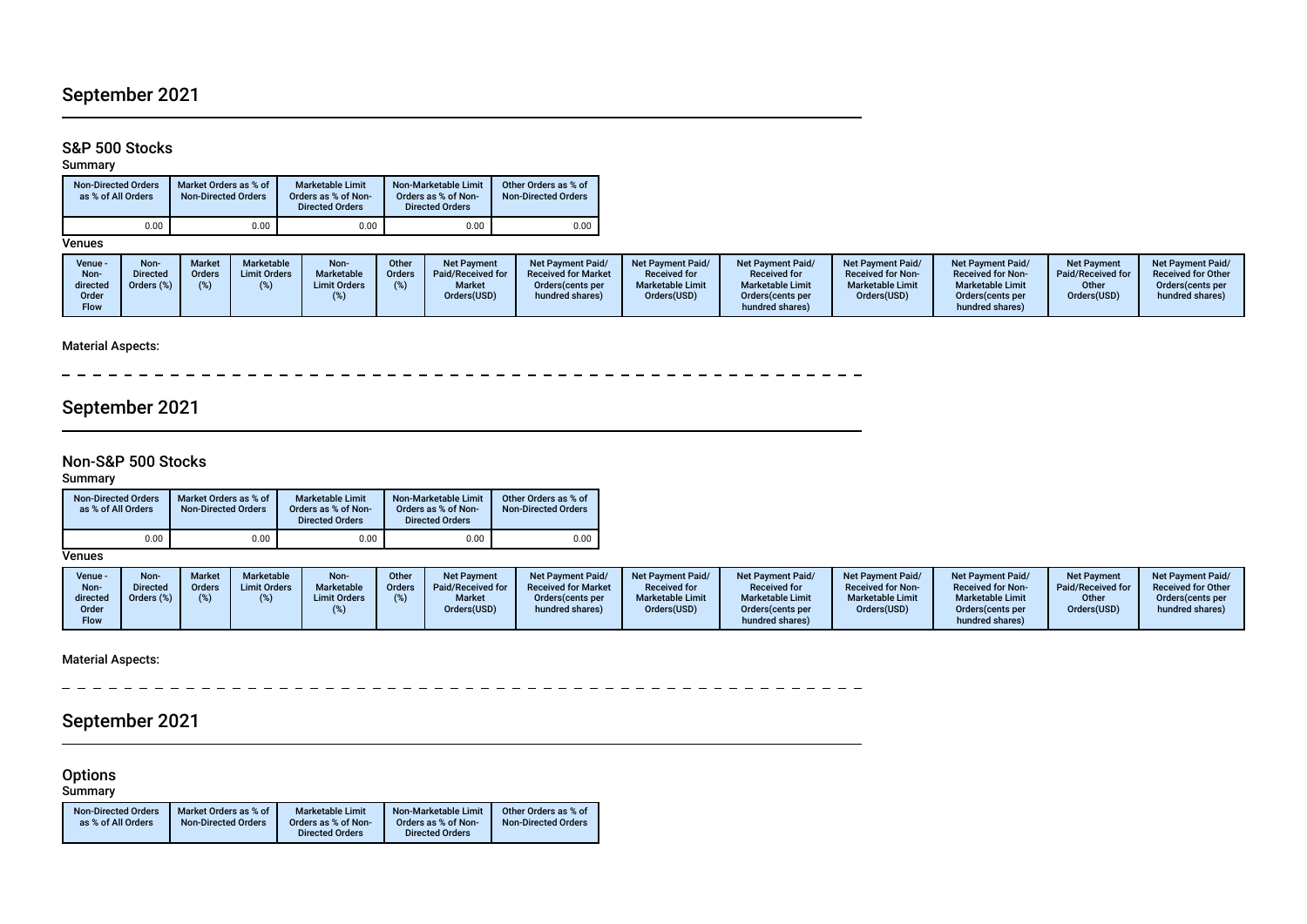# September 2021

## S&P 500 Stocks

#### Summary

| <b>Non-Directed Orders</b><br>as % of All Orders | Market Orders as % of<br><b>Non-Directed Orders</b> | <b>Marketable Limit</b><br>Orders as % of Non-<br><b>Directed Orders</b> | Non-Marketable Limit<br>Orders as % of Non-<br><b>Directed Orders</b> | Other Orders as % of<br><b>Non-Directed Orders</b> |
|--------------------------------------------------|-----------------------------------------------------|--------------------------------------------------------------------------|-----------------------------------------------------------------------|----------------------------------------------------|
| 0.00                                             | 0.00                                                | 0.00                                                                     | 0.00                                                                  | 0.00                                               |

**Venues** 

| Venue -<br>Non-<br>directed<br>Order<br><b>Flow</b> | Non<br>)irected<br>rders (%) | <b>Market</b><br><b>Orders</b> | <b>Marketable</b><br><b>Limit Orders</b> | Non-<br><b>Marketable</b><br><b>Limit Orders</b> | Other<br>Orders | <b>Net Payment</b><br>Paid/Received for<br><b>Market</b><br>Orders(USD) | <b>Net Payment Paid/</b><br><b>Received for Market</b><br>Orders (cents per<br>hundred shares) | <b>Net Payment Paid/</b><br><b>Received for</b><br><b>Marketable Limit</b><br>Orders(USD) | Net Payment Paid/<br><b>Received for</b><br><b>Marketable Limit</b><br>Orders (cents per<br>hundred shares) | <b>Net Payment Paid/</b><br><b>Received for Non-</b><br><b>Marketable Limit</b><br>Orders(USD) | <b>Net Payment Paid/</b><br><b>Received for Non-</b><br><b>Marketable Limit</b><br>Orders(cents per<br>hundred shares) | <b>Net Payment</b><br>Paid/Received for<br>Other<br>Orders(USD) | Net Payment Paid/<br><b>Received for Other</b><br>Orders (cents per<br>hundred shares) |
|-----------------------------------------------------|------------------------------|--------------------------------|------------------------------------------|--------------------------------------------------|-----------------|-------------------------------------------------------------------------|------------------------------------------------------------------------------------------------|-------------------------------------------------------------------------------------------|-------------------------------------------------------------------------------------------------------------|------------------------------------------------------------------------------------------------|------------------------------------------------------------------------------------------------------------------------|-----------------------------------------------------------------|----------------------------------------------------------------------------------------|
|-----------------------------------------------------|------------------------------|--------------------------------|------------------------------------------|--------------------------------------------------|-----------------|-------------------------------------------------------------------------|------------------------------------------------------------------------------------------------|-------------------------------------------------------------------------------------------|-------------------------------------------------------------------------------------------------------------|------------------------------------------------------------------------------------------------|------------------------------------------------------------------------------------------------------------------------|-----------------------------------------------------------------|----------------------------------------------------------------------------------------|

## Material Aspects:

 $\sim$ 

## September 2021

### Non-S&P 500 Stocks

Summary

| <b>Non-Directed Orders</b><br>as % of All Orders | Market Orders as % of<br><b>Non-Directed Orders</b> | <b>Marketable Limit</b><br>Orders as % of Non-<br><b>Directed Orders</b> | Non-Marketable Limit<br>Orders as % of Non-<br><b>Directed Orders</b> | Other Orders as % of<br><b>Non-Directed Orders</b> |  |  |
|--------------------------------------------------|-----------------------------------------------------|--------------------------------------------------------------------------|-----------------------------------------------------------------------|----------------------------------------------------|--|--|
| 0.00                                             | 0.00                                                | 0.00                                                                     | 0.00                                                                  | 0.00                                               |  |  |

Venues

| Venue -<br>Non-<br>directed | Non-<br><b>Directed</b><br>Orders (%) | <b>Market</b><br>Orders<br>(%) | Marketable<br><b>Limit Orders</b> | Non-<br>Marketable<br><b>Limit Orders</b> | Other<br><b>Orders</b> | <b>Net Payment</b><br><b>Paid/Received for</b><br><b>Market</b> | <b>Net Payment Paid/</b><br><b>Received for Market</b><br>Orders(cents per | <b>Net Payment Paid/</b><br><b>Received for</b><br><b>Marketable Limit</b> | <b>Net Payment Paid/</b><br><b>Received for</b><br><b>Marketable Limit</b> | <b>Net Payment Paid/</b><br><b>Received for Non-</b><br><b>Marketable Limit</b> | <b>Net Payment Paid/</b><br><b>Received for Non-</b><br><b>Marketable Limit</b> | <b>Net Payment</b><br>Paid/Received for<br>Other | <b>Net Payment Paid/</b><br><b>Received for Other</b><br>Orders(cents per |
|-----------------------------|---------------------------------------|--------------------------------|-----------------------------------|-------------------------------------------|------------------------|-----------------------------------------------------------------|----------------------------------------------------------------------------|----------------------------------------------------------------------------|----------------------------------------------------------------------------|---------------------------------------------------------------------------------|---------------------------------------------------------------------------------|--------------------------------------------------|---------------------------------------------------------------------------|
| Order                       |                                       |                                |                                   |                                           |                        | Orders(USD)                                                     | hundred shares)                                                            | Orders(USD)                                                                | Orders (cents per                                                          | Orders(USD)                                                                     | Orders(cents per                                                                | Orders(USD)                                      | hundred shares)                                                           |
| Flow                        |                                       |                                |                                   |                                           |                        |                                                                 |                                                                            |                                                                            | hundred shares)                                                            |                                                                                 | hundred shares)                                                                 |                                                  |                                                                           |

Material Aspects:

 $\frac{1}{2}$  $\equiv$   $\equiv$   $\equiv$  $=$   $=$ \_ \_ \_ \_ \_ \_ \_ \_ \_ \_ \_ \_ \_ \_  $\overline{a}$  $=$   $-$ 

# September 2021

#### **Options**

Summary

| <b>Non-Directed Orders</b> | Market Orders as % of      | <b>Marketable Limit</b> | Non-Marketable Limit   | Other Orders as % of |
|----------------------------|----------------------------|-------------------------|------------------------|----------------------|
| as % of All Orders         | <b>Non-Directed Orders</b> | Orders as % of Non-     | Orders as % of Non-    | Non-Directed Orders  |
|                            |                            | <b>Directed Orders</b>  | <b>Directed Orders</b> |                      |